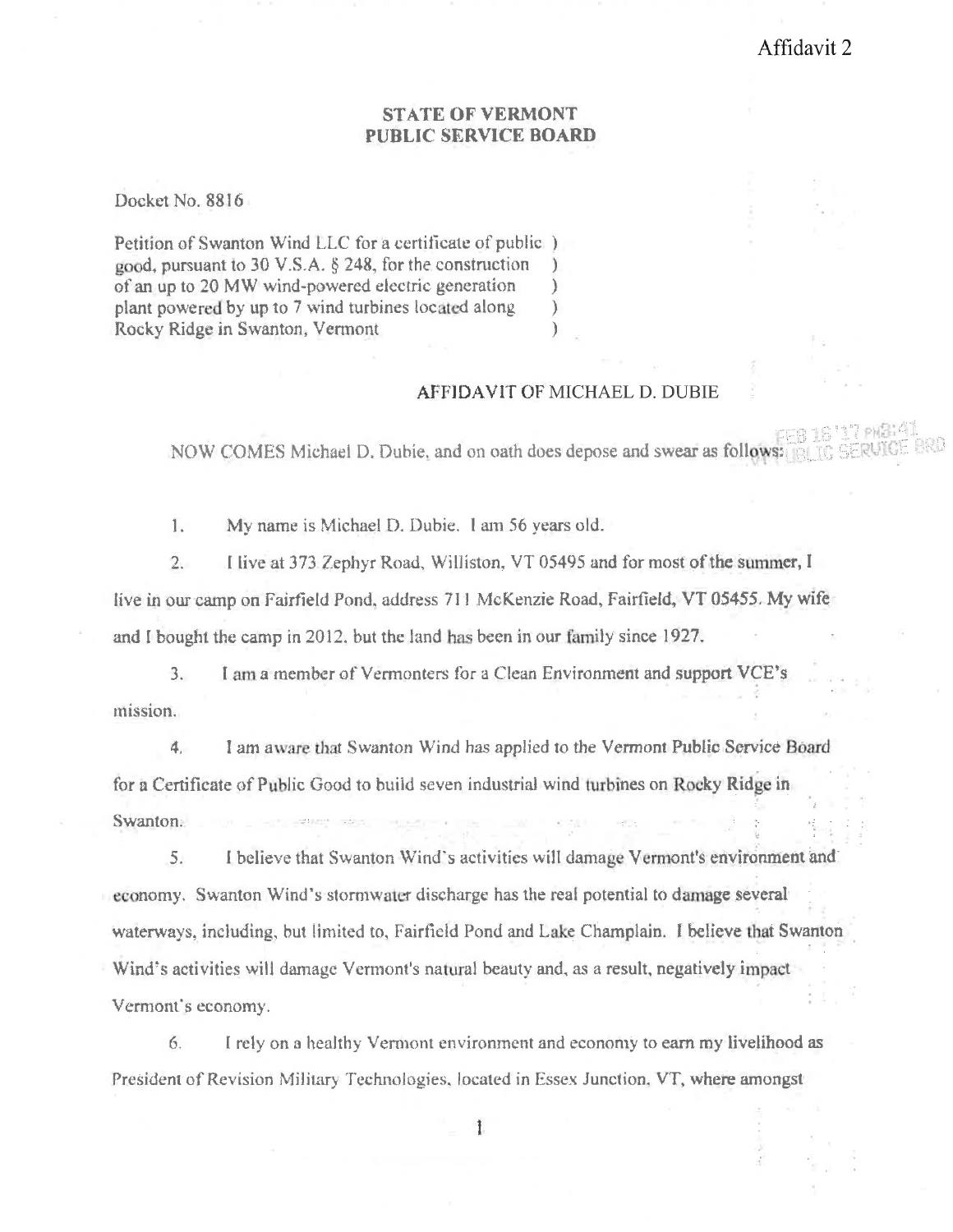## **STATE OF VERMONT** PUBLIC SERVICE BOARD

Docket No. 8816

Petition of Swanton Wind LLC for a certificate of public) good, pursuant to 30 V.S.A.  $\S$  248, for the construction  $\mathcal{L}$ of an up to 20 MW wind-powered electric generation  $\mathcal{F}$ plant powered by up to 7 wind turbines located along  $\mathcal{L}$ Rocky Ridge in Swanton, Vermont  $\mathcal{E}$ 

## **AFFIDAVIT OF MICHAEL D. DUBIE**

NOW COMES Michael D. Dubie, and on oath does depose and swear as follows:

 $\overline{1}$ . My name is Michael D. Dubie. 1 am 56 years old.

I live at 373 Zephyr Road, Williston, VT 05495 and for most of the summer, I  $2.$ live in our camp on Fairfield Pond, address 711 McKenzie Road, Fairfield, VT 05455. My wife and I bought the camp in 2012, but the land has been in our family since 1927.

I am a member of Vermonters for a Clean Environment and support VCE's  $3.$ mission.

4. I am aware that Swanton Wind has applied to the Vermont Public Service Board for a Certificate of Public Good to build seven industrial wind turbines on Rocky Ridge in Swanton.

I believe that Swanton Wind's activities will damage Vermont's environment and 5. economy. Swanton Wind's stormwater discharge has the real potential to damage several waterways, including, but limited to, Fairfield Pond and Lake Champlain. I believe that Swanton Wind's activities will damage Vermont's natural beauty and, as a result, negatively impact Vermont's economy.

6. I rely on a healthy Vermont environment and economy to earn my livelihood as President of Revision Military Technologies, located in Essex Junction, VT, where amongst

 $\mathbf{1}$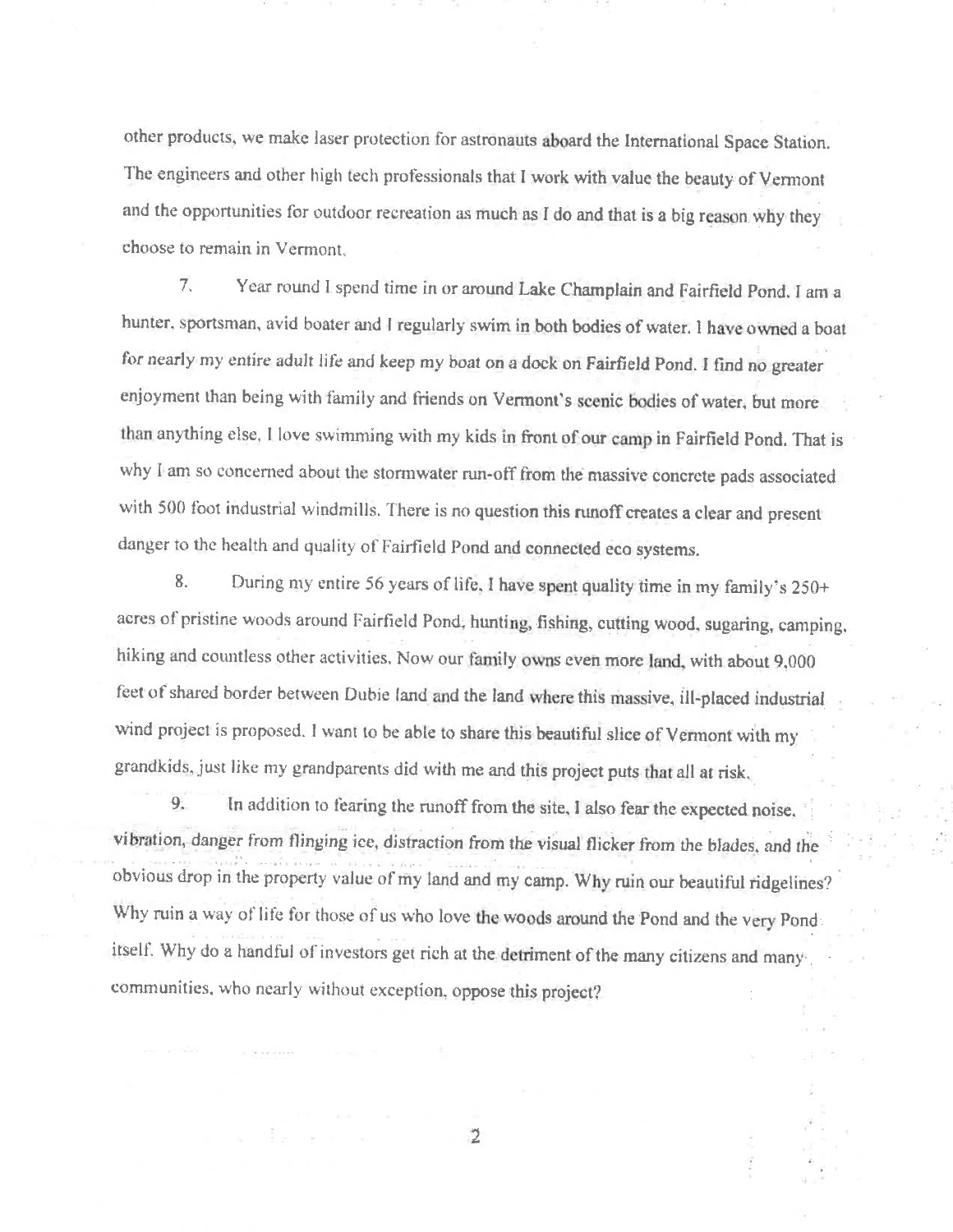other products, we make laser protection for astronauts aboard the International Space Station. The engineers and other high tech professionals that I work with value the beauty of Vermont and the opportunities for outdoor recreation as much as I do and that is a big reason why they choose to remain in Vermont.

Year round I spend time in or around Lake Champlain and Fairfield Pond. I am a  $7.$ hunter, sportsman, avid boater and I regularly swim in both bodies of water. I have owned a boat for nearly my entire adult life and keep my boat on a dock on Fairfield Pond. I find no greater enjoyment than being with family and friends on Vermont's scenic bodies of water, but more than anything else, I love swimming with my kids in front of our camp in Fairfield Pond. That is why I am so concerned about the stormwater run-off from the massive concrete pads associated with 500 foot industrial windmills. There is no question this runoff creates a clear and present danger to the health and quality of Fairfield Pond and connected eco systems.

8. During my entire 56 years of life, I have spent quality time in my family's 250+ acres of pristine woods around Fairfield Pond, hunting, fishing, cutting wood, sugaring, camping, hiking and countless other activities. Now our family owns even more land, with about 9,000 feet of shared border between Dubie land and the land where this massive, ill-placed industrial wind project is proposed. I want to be able to share this beautiful slice of Vermont with my grandkids, just like my grandparents did with me and this project puts that all at risk.

In addition to fearing the runoff from the site, I also fear the expected noise, 9. vibration, danger from flinging ice, distraction from the visual flicker from the blades, and the obvious drop in the property value of my land and my camp. Why ruin our beautiful ridgelines? Why ruin a way of life for those of us who love the woods around the Pond and the very Pond itself. Why do a handful of investors get rich at the detriment of the many citizens and manycommunities, who nearly without exception, oppose this project?

 $\overline{2}$